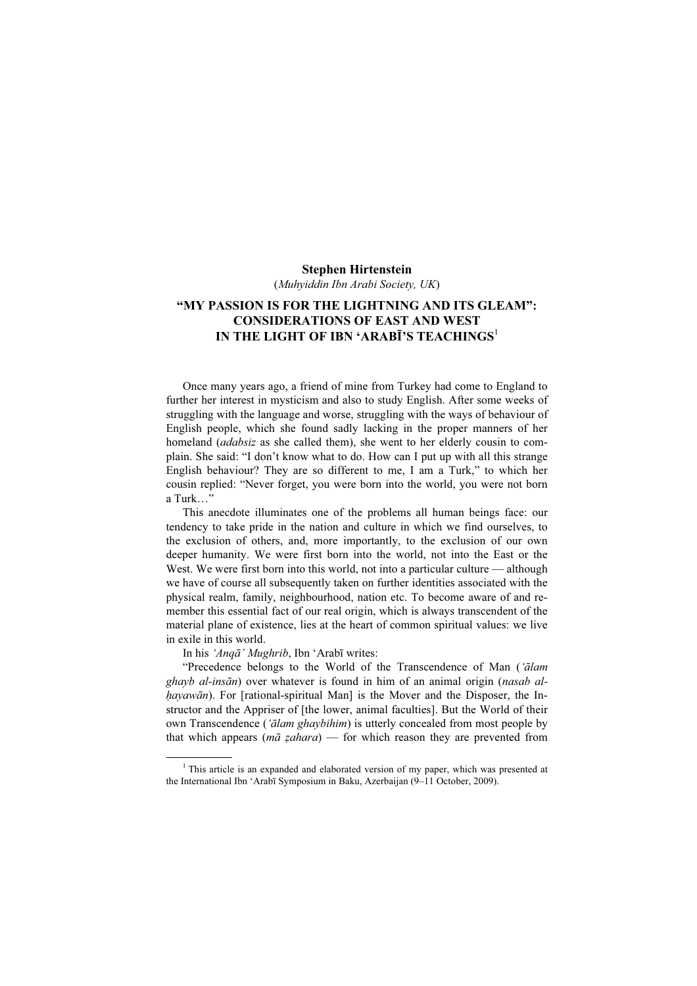#### Stephen Hirtenstein

(Muhyiddin Ibn Arabi Society, UK)

# "MY PASSION IS FOR THE LIGHTNING AND ITS GLEAM": CONSIDERATIONS OF EAST AND WEST IN THE LIGHT OF IBN 'ARABĪ'S TEACHINGS<sup>1</sup>

Once many years ago, a friend of mine from Turkey had come to England to further her interest in mysticism and also to study English. After some weeks of struggling with the language and worse, struggling with the ways of behaviour of English people, which she found sadly lacking in the proper manners of her homeland *(adabsiz* as she called them), she went to her elderly cousin to complain. She said: "I don't know what to do. How can I put up with all this strange English behaviour? They are so different to me, I am a Turk," to which her cousin replied: "Never forget, you were born into the world, you were not born a Turk<sup>"</sup>

This anecdote illuminates one of the problems all human beings face: our tendency to take pride in the nation and culture in which we find ourselves, to the exclusion of others, and, more importantly, to the exclusion of our own deeper humanity. We were first born into the world, not into the East or the West. We were first born into this world, not into a particular culture — although we have of course all subsequently taken on further identities associated with the physical realm, family, neighbourhood, nation etc. To become aware of and remember this essential fact of our real origin, which is always transcendent of the material plane of existence, lies at the heart of common spiritual values: we live in exile in this world.

In his 'Anqā' Mughrib, Ibn 'Arabī writes:

"Precedence belongs to the World of the Transcendence of Man ('ālam ghayb al-insān) over whatever is found in him of an animal origin (nasab alhayawān). For [rational-spiritual Man] is the Mover and the Disposer, the Instructor and the Appriser of [the lower, animal faculties]. But the World of their own Transcendence ('*ālam ghaybihim*) is utterly concealed from most people by that which appears ( $m\bar{a}$  *zahara*) — for which reason they are prevented from

 $\frac{1}{1}$  $1$ <sup>1</sup> This article is an expanded and elaborated version of my paper, which was presented at the International Ibn 'Arabī Symposium in Baku, Azerbaijan (9–11 October, 2009).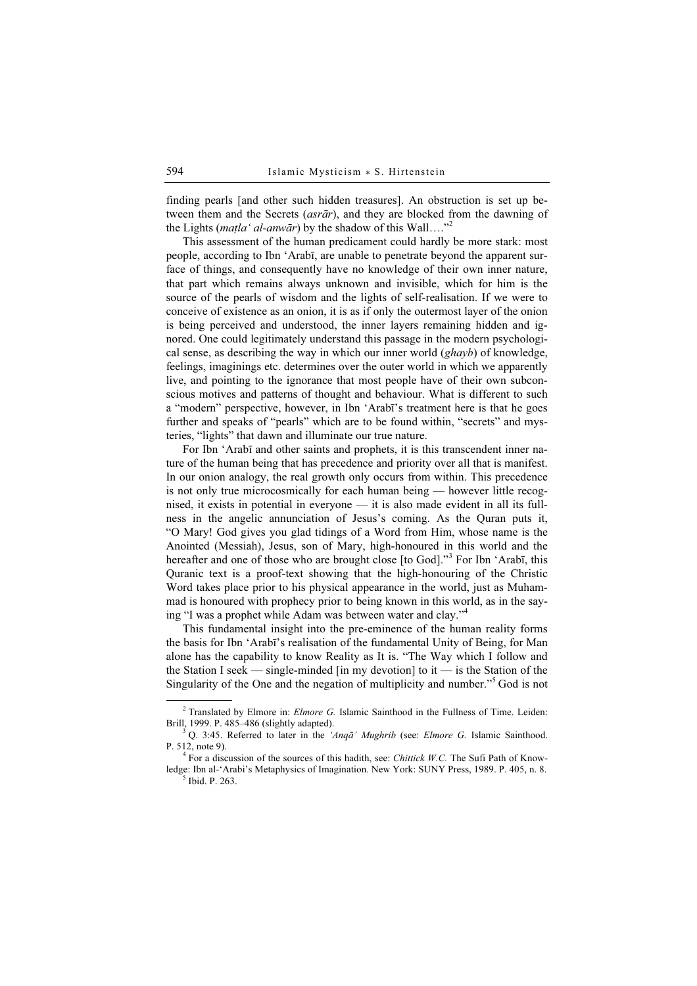finding pearls [and other such hidden treasures]. An obstruction is set up between them and the Secrets (asrār), and they are blocked from the dawning of the Lights (*matla' al-anwār*) by the shadow of this Wall...."<sup>2</sup>

This assessment of the human predicament could hardly be more stark: most people, according to Ibn 'Arabī, are unable to penetrate beyond the apparent surface of things, and consequently have no knowledge of their own inner nature, that part which remains always unknown and invisible, which for him is the source of the pearls of wisdom and the lights of self-realisation. If we were to conceive of existence as an onion, it is as if only the outermost layer of the onion is being perceived and understood, the inner layers remaining hidden and ignored. One could legitimately understand this passage in the modern psychological sense, as describing the way in which our inner world  $(ghayb)$  of knowledge, feelings, imaginings etc. determines over the outer world in which we apparently live, and pointing to the ignorance that most people have of their own subconscious motives and patterns of thought and behaviour. What is different to such a "modern" perspective, however, in Ibn 'Arabī's treatment here is that he goes further and speaks of "pearls" which are to be found within, "secrets" and mysteries, "lights" that dawn and illuminate our true nature.

For Ibn 'Arabī and other saints and prophets, it is this transcendent inner nature of the human being that has precedence and priority over all that is manifest. In our onion analogy, the real growth only occurs from within. This precedence is not only true microcosmically for each human being — however little recognised, it exists in potential in everyone — it is also made evident in all its fullness in the angelic annunciation of Jesus's coming. As the Quran puts it, "O Mary! God gives you glad tidings of a Word from Him, whose name is the Anointed (Messiah), Jesus, son of Mary, high-honoured in this world and the hereafter and one of those who are brought close [to God]."<sup>3</sup> For Ibn 'Arabī, this Quranic text is a proof-text showing that the high-honouring of the Christic Word takes place prior to his physical appearance in the world, just as Muhammad is honoured with prophecy prior to being known in this world, as in the saying "I was a prophet while Adam was between water and clay."<sup>4</sup>

This fundamental insight into the pre-eminence of the human reality forms the basis for Ibn 'Arabī's realisation of the fundamental Unity of Being, for Man alone has the capability to know Reality as It is. "The Way which I follow and the Station I seek — single-minded [in my devotion] to it — is the Station of the Singularity of the One and the negation of multiplicity and number."<sup>5</sup> God is not

 $\frac{1}{2}$ <sup>2</sup> Translated by Elmore in: *Elmore G.* Islamic Sainthood in the Fullness of Time. Leiden: Brill, 1999. P. 485–486 (slightly adapted). <sup>3</sup>

Q. 3:45. Referred to later in the 'Anqā' Mughrib (see: Elmore G. Islamic Sainthood. P. 512, note 9). <sup>4</sup>

 $4$  For a discussion of the sources of this hadith, see: *Chittick W.C.* The Sufi Path of Knowledge: Ibn al-'Arabi's Metaphysics of Imagination. New York: SUNY Press, 1989. P. 405, n. 8.

 $<sup>5</sup>$  Ibid. P. 263.</sup>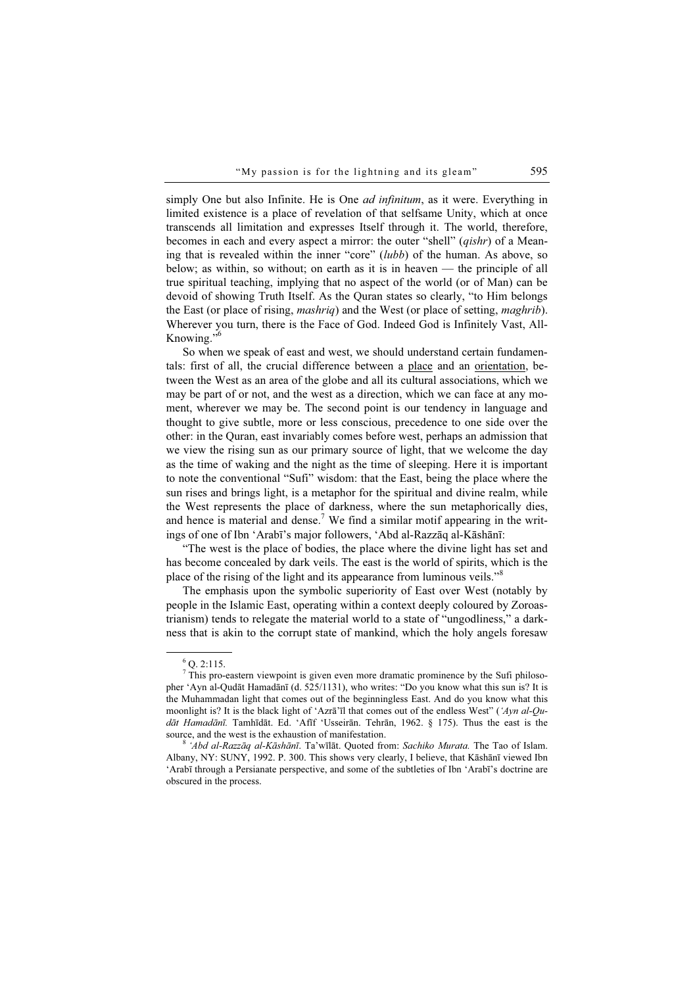simply One but also Infinite. He is One *ad infinitum*, as it were. Everything in limited existence is a place of revelation of that selfsame Unity, which at once transcends all limitation and expresses Itself through it. The world, therefore, becomes in each and every aspect a mirror: the outer "shell" (*qishr*) of a Meaning that is revealed within the inner "core" (lubb) of the human. As above, so below; as within, so without; on earth as it is in heaven — the principle of all true spiritual teaching, implying that no aspect of the world (or of Man) can be devoid of showing Truth Itself. As the Quran states so clearly, "to Him belongs the East (or place of rising, mashriq) and the West (or place of setting, maghrib). Wherever you turn, there is the Face of God. Indeed God is Infinitely Vast, All-Knowing." $\frac{1}{6}$ 

So when we speak of east and west, we should understand certain fundamentals: first of all, the crucial difference between a place and an orientation, between the West as an area of the globe and all its cultural associations, which we may be part of or not, and the west as a direction, which we can face at any moment, wherever we may be. The second point is our tendency in language and thought to give subtle, more or less conscious, precedence to one side over the other: in the Quran, east invariably comes before west, perhaps an admission that we view the rising sun as our primary source of light, that we welcome the day as the time of waking and the night as the time of sleeping. Here it is important to note the conventional "Sufi" wisdom: that the East, being the place where the sun rises and brings light, is a metaphor for the spiritual and divine realm, while the West represents the place of darkness, where the sun metaphorically dies, and hence is material and dense.<sup>7</sup> We find a similar motif appearing in the writings of one of Ibn 'Arabī's major followers, 'Abd al-Razzāq al-Kāshānī:

"The west is the place of bodies, the place where the divine light has set and has become concealed by dark veils. The east is the world of spirits, which is the place of the rising of the light and its appearance from luminous veils."<sup>8</sup>

The emphasis upon the symbolic superiority of East over West (notably by people in the Islamic East, operating within a context deeply coloured by Zoroastrianism) tends to relegate the material world to a state of "ungodliness," a darkness that is akin to the corrupt state of mankind, which the holy angels foresaw

 $\overline{\phantom{0}}$  $6$  Q. 2:115.

 $\overline{7}$  This pro-eastern viewpoint is given even more dramatic prominence by the Sufi philosopher 'Ayn al-Qudāt Hamadānī (d. 525/1131), who writes: "Do you know what this sun is? It is the Muhammadan light that comes out of the beginningless East. And do you know what this moonlight is? It is the black light of 'Azrā'īl that comes out of the endless West" ('Ayn al-Qudāt Hamadānī. Tamhīdāt. Ed. 'Afīf 'Usseirān. Tehrān, 1962. § 175). Thus the east is the source, and the west is the exhaustion of manifestation.

 $8$  'Abd al-Razzāq al-Kāshānī. Ta'wīlāt. Quoted from: Sachiko Murata. The Tao of Islam. Albany, NY: SUNY, 1992. P. 300. This shows very clearly, I believe, that Kāshānī viewed Ibn 'Arabī through a Persianate perspective, and some of the subtleties of Ibn 'Arabī's doctrine are obscured in the process.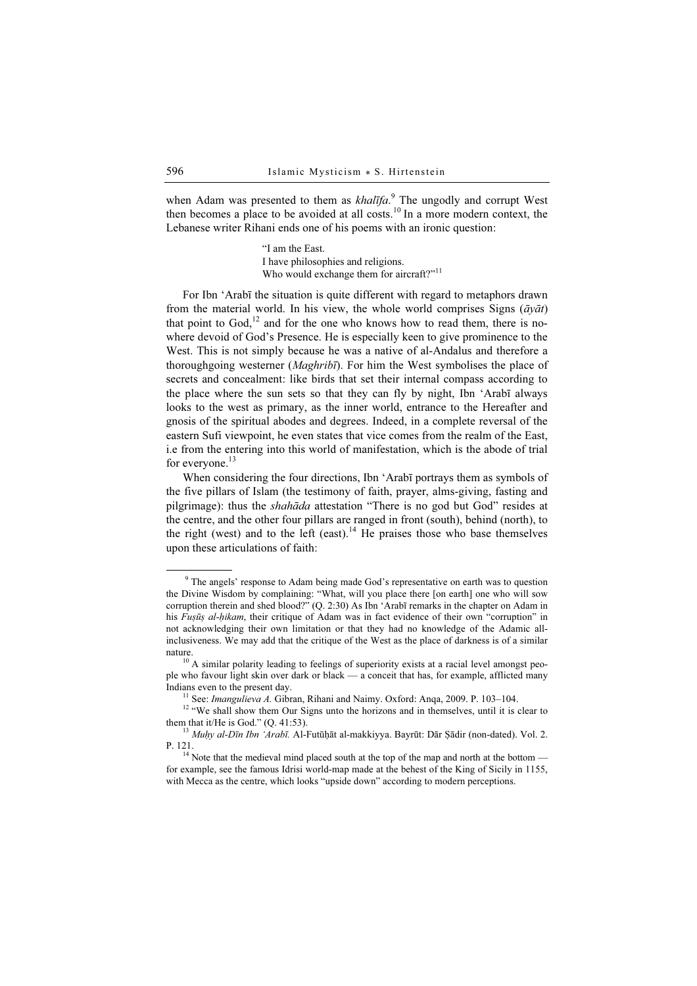when Adam was presented to them as  $khalifa$ .<sup>9</sup> The ungodly and corrupt West then becomes a place to be avoided at all costs.<sup>10</sup> In a more modern context, the Lebanese writer Rihani ends one of his poems with an ironic question:

> "I am the East. I have philosophies and religions. Who would exchange them for aircraft?"<sup>11</sup>

For Ibn 'Arabī the situation is quite different with regard to metaphors drawn from the material world. In his view, the whole world comprises Signs ( $\bar{a}v\bar{a}t$ ) that point to God,<sup>12</sup> and for the one who knows how to read them, there is nowhere devoid of God's Presence. He is especially keen to give prominence to the West. This is not simply because he was a native of al-Andalus and therefore a thoroughgoing westerner (*Maghribī*). For him the West symbolises the place of secrets and concealment: like birds that set their internal compass according to the place where the sun sets so that they can fly by night, Ibn 'Arabī always looks to the west as primary, as the inner world, entrance to the Hereafter and gnosis of the spiritual abodes and degrees. Indeed, in a complete reversal of the eastern Sufi viewpoint, he even states that vice comes from the realm of the East, i.e from the entering into this world of manifestation, which is the abode of trial for everyone.<sup>13</sup>

When considering the four directions, Ibn 'Arabī portrays them as symbols of the five pillars of Islam (the testimony of faith, prayer, alms-giving, fasting and pilgrimage): thus the *shahāda* attestation "There is no god but God" resides at the centre, and the other four pillars are ranged in front (south), behind (north), to the right (west) and to the left (east).<sup>14</sup> He praises those who base themselves upon these articulations of faith:

 $\frac{1}{9}$ <sup>9</sup> The angels' response to Adam being made God's representative on earth was to question the Divine Wisdom by complaining: "What, will you place there [on earth] one who will sow corruption therein and shed blood?" (Q. 2:30) As Ibn 'Arabī remarks in the chapter on Adam in his Fusūs al-hikam, their critique of Adam was in fact evidence of their own "corruption" in not acknowledging their own limitation or that they had no knowledge of the Adamic allinclusiveness. We may add that the critique of the West as the place of darkness is of a similar

nature.<br><sup>10</sup> A similar polarity leading to feelings of superiority exists at a racial level amongst people who favour light skin over dark or black — a conceit that has, for example, afflicted many Indians even to the present day.<br><sup>11</sup> See: *Imangulieva A*. Gibran, Rihani and Naimy. Oxford: Anqa, 2009. P. 103–104.<br><sup>12</sup> "We shall show them Our Signs unto the horizons and in themselves, until it is clear to

them that it/He is God." (Q. 41:53).<br><sup>13</sup> Muḥy al-Dīn Ibn 'Arabī. Al-Futūḥāt al-makkiyya. Bayrūt: Dār Ṣādir (non-dated). Vol. 2.<br>P. 121.

 $14$  Note that the medieval mind placed south at the top of the map and north at the bottom for example, see the famous Idrisi world-map made at the behest of the King of Sicily in 1155, with Mecca as the centre, which looks "upside down" according to modern perceptions.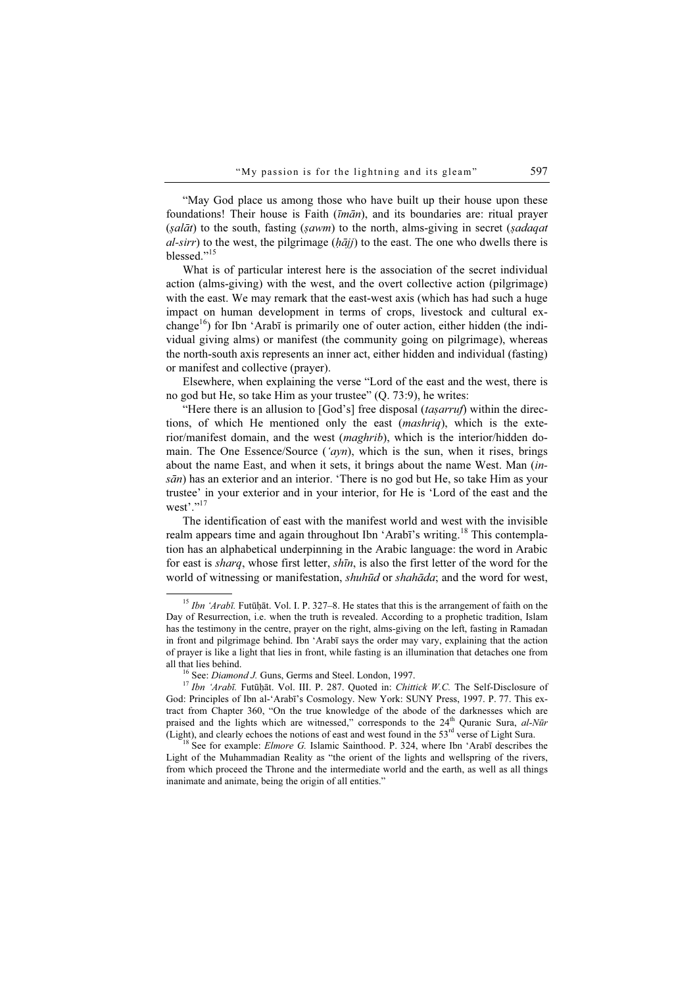"May God place us among those who have built up their house upon these foundations! Their house is Faith (īmān), and its boundaries are: ritual prayer  $(sal\bar{a}t)$  to the south, fasting  $(sawm)$  to the north, alms-giving in secret (sadaqat al-sirr) to the west, the pilgrimage  $(h\bar{a}jj)$  to the east. The one who dwells there is blessed."<sup>15</sup>

What is of particular interest here is the association of the secret individual action (alms-giving) with the west, and the overt collective action (pilgrimage) with the east. We may remark that the east-west axis (which has had such a huge impact on human development in terms of crops, livestock and cultural exchange<sup>16</sup>) for Ibn 'Arabī is primarily one of outer action, either hidden (the individual giving alms) or manifest (the community going on pilgrimage), whereas the north-south axis represents an inner act, either hidden and individual (fasting) or manifest and collective (prayer).

Elsewhere, when explaining the verse "Lord of the east and the west, there is no god but He, so take Him as your trustee" (Q. 73:9), he writes:

"Here there is an allusion to  $[God's]$  free disposal (tasarruf) within the directions, of which He mentioned only the east (mashriq), which is the exterior/manifest domain, and the west (maghrib), which is the interior/hidden domain. The One Essence/Source ('ayn), which is the sun, when it rises, brings about the name East, and when it sets, it brings about the name West. Man (in $s\bar{a}n$ ) has an exterior and an interior. 'There is no god but He, so take Him as your trustee' in your exterior and in your interior, for He is 'Lord of the east and the west'." $^{17}$ 

The identification of east with the manifest world and west with the invisible realm appears time and again throughout Ibn 'Arabī's writing.<sup>18</sup> This contemplation has an alphabetical underpinning in the Arabic language: the word in Arabic for east is sharq, whose first letter, shīn, is also the first letter of the word for the world of witnessing or manifestation, *shuhūd* or *shahāda*; and the word for west,

 $15$  Ibn 'Arabī. Futūḥāt. Vol. I. P. 327–8. He states that this is the arrangement of faith on the Day of Resurrection, i.e. when the truth is revealed. According to a prophetic tradition, Islam has the testimony in the centre, prayer on the right, alms-giving on the left, fasting in Ramadan in front and pilgrimage behind. Ibn 'Arabī says the order may vary, explaining that the action of prayer is like a light that lies in front, while fasting is an illumination that detaches one from all that lies behind.<br><sup>16</sup> See: *Diamond J.* Guns, Germs and Steel. London, 1997.<br><sup>17</sup> Ibn 'Arabī. Futūḥāt. Vol. III. P. 287. Quoted in: *Chittick W.C.* The Self-Disclosure of

God: Principles of Ibn al-'Arabī's Cosmology. New York: SUNY Press, 1997. P. 77. This extract from Chapter 360, "On the true knowledge of the abode of the darknesses which are praised and the lights which are witnessed," corresponds to the  $24<sup>th</sup>$  Quranic Sura, al-Nūr (Light), and clearly echoes the notions of east and west found in the  $53^{rd}$  verse of Light Sura. <sup>18</sup> See for example: *Elmore G.* Islamic Sainthood. P. 324, where Ibn 'Arabī describes the

Light of the Muhammadian Reality as "the orient of the lights and wellspring of the rivers, from which proceed the Throne and the intermediate world and the earth, as well as all things inanimate and animate, being the origin of all entities."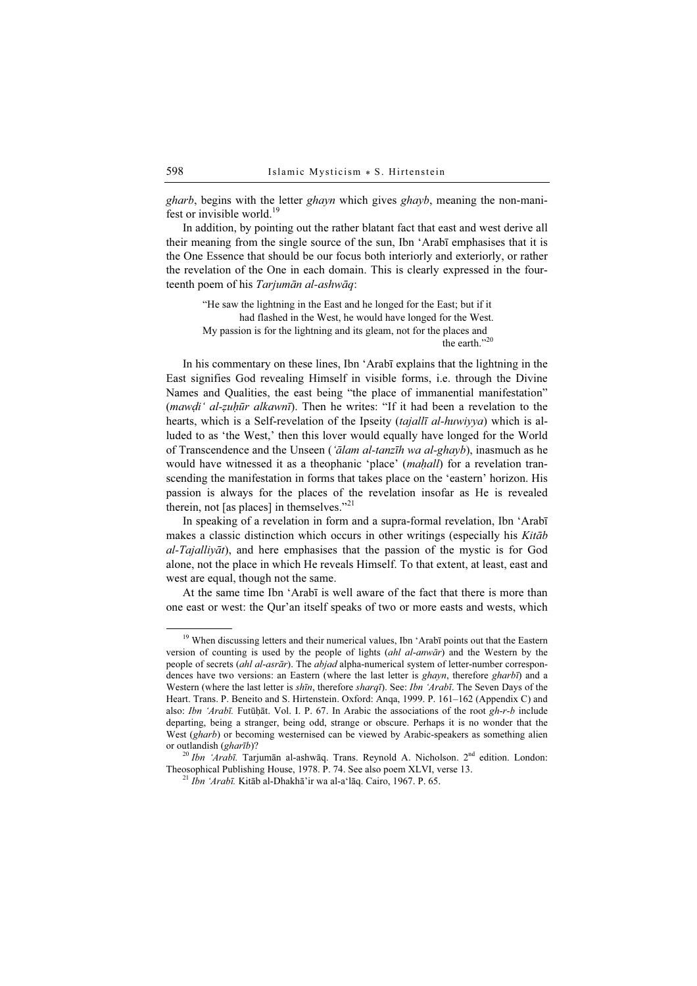gharb, begins with the letter ghayn which gives ghayb, meaning the non-manifest or invisible world.<sup>19</sup>

In addition, by pointing out the rather blatant fact that east and west derive all their meaning from the single source of the sun, Ibn 'Arabī emphasises that it is the One Essence that should be our focus both interiorly and exteriorly, or rather the revelation of the One in each domain. This is clearly expressed in the fourteenth poem of his Tarjumān al-ashwāq:

"He saw the lightning in the East and he longed for the East; but if it had flashed in the West, he would have longed for the West. My passion is for the lightning and its gleam, not for the places and the earth."20

In his commentary on these lines, Ibn 'Arabī explains that the lightning in the East signifies God revealing Himself in visible forms, i.e. through the Divine Names and Qualities, the east being "the place of immanential manifestation" (mawdi' al-zuḥūr alkawnī). Then he writes: "If it had been a revelation to the hearts, which is a Self-revelation of the Ipseity (tajallī al-huwiyya) which is alluded to as 'the West,' then this lover would equally have longed for the World of Transcendence and the Unseen (*'ālam al-tanzīh wa al-ghayb*), inasmuch as he would have witnessed it as a theophanic 'place' (*mahall*) for a revelation transcending the manifestation in forms that takes place on the 'eastern' horizon. His passion is always for the places of the revelation insofar as He is revealed therein, not [as places] in themselves."<sup>21</sup>

In speaking of a revelation in form and a supra-formal revelation, Ibn 'Arabī makes a classic distinction which occurs in other writings (especially his Kitāb al-Tajalliyāt), and here emphasises that the passion of the mystic is for God alone, not the place in which He reveals Himself. To that extent, at least, east and west are equal, though not the same.

At the same time Ibn 'Arabī is well aware of the fact that there is more than one east or west: the Qur'an itself speaks of two or more easts and wests, which

<sup>&</sup>lt;sup>19</sup> When discussing letters and their numerical values, Ibn 'Arabī points out that the Eastern version of counting is used by the people of lights (ahl al-anwār) and the Western by the people of secrets (ahl al-asrār). The abjad alpha-numerical system of letter-number correspondences have two versions: an Eastern (where the last letter is ghayn, therefore gharbī) and a Western (where the last letter is shīn, therefore sharqī). See: Ibn 'Arabī. The Seven Days of the Heart. Trans. P. Beneito and S. Hirtenstein. Oxford: Anqa, 1999. P. 161–162 (Appendix C) and also: Ibn 'Arabī. Futūḥāt. Vol. I. P. 67. In Arabic the associations of the root gh-r-b include departing, being a stranger, being odd, strange or obscure. Perhaps it is no wonder that the West (gharb) or becoming westernised can be viewed by Arabic-speakers as something alien or outlandish (gharīb)?

 $\frac{20 \text{ lbn}}{20 \text{ lbn}}$  'Arabī. Tarjumān al-ashwāq. Trans. Reynold A. Nicholson.  $2^{nd}$  edition. London: Theosophical Publishing House, 1978. P. 74. See also poem XLVI, verse 13. <sup>21</sup> Ibn 'Arabī. Kitāb al-Dhakhā'ir wa al-a'lāq. Cairo, 1967. P. 65.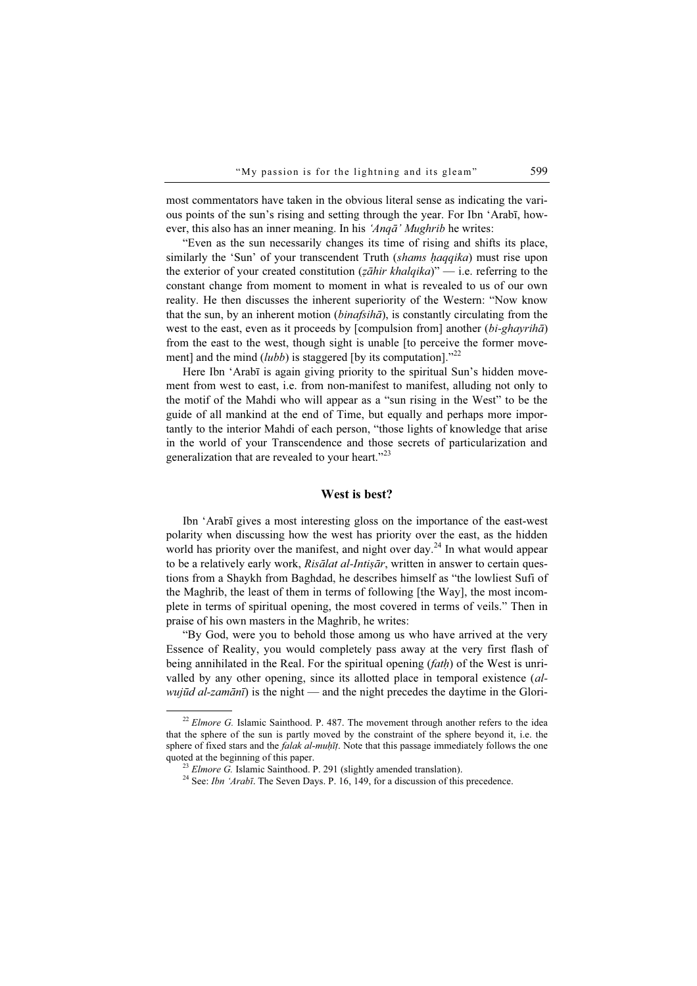most commentators have taken in the obvious literal sense as indicating the various points of the sun's rising and setting through the year. For Ibn 'Arabī, however, this also has an inner meaning. In his 'Anqā' Mughrib he writes:

"Even as the sun necessarily changes its time of rising and shifts its place, similarly the 'Sun' of your transcendent Truth (shams haqqika) must rise upon the exterior of your created constitution ( $z\bar{a}$ hir khalqika)" — i.e. referring to the constant change from moment to moment in what is revealed to us of our own reality. He then discusses the inherent superiority of the Western: "Now know that the sun, by an inherent motion (binafsihā), is constantly circulating from the west to the east, even as it proceeds by [compulsion from] another (bi-ghayriha) from the east to the west, though sight is unable [to perceive the former movement] and the mind  $(lubb)$  is staggered [by its computation]."<sup>22</sup>

Here Ibn 'Arabī is again giving priority to the spiritual Sun's hidden movement from west to east, i.e. from non-manifest to manifest, alluding not only to the motif of the Mahdi who will appear as a "sun rising in the West" to be the guide of all mankind at the end of Time, but equally and perhaps more importantly to the interior Mahdi of each person, "those lights of knowledge that arise in the world of your Transcendence and those secrets of particularization and generalization that are revealed to your heart."<sup>23</sup>

## West is best?

Ibn 'Arabī gives a most interesting gloss on the importance of the east-west polarity when discussing how the west has priority over the east, as the hidden world has priority over the manifest, and night over day.<sup>24</sup> In what would appear to be a relatively early work, Risālat al-Intisār, written in answer to certain questions from a Shaykh from Baghdad, he describes himself as "the lowliest Sufi of the Maghrib, the least of them in terms of following [the Way], the most incomplete in terms of spiritual opening, the most covered in terms of veils." Then in praise of his own masters in the Maghrib, he writes:

"By God, were you to behold those among us who have arrived at the very Essence of Reality, you would completely pass away at the very first flash of being annihilated in the Real. For the spiritual opening  $(fath)$  of the West is unrivalled by any other opening, since its allotted place in temporal existence (alwujūd al-zamānī) is the night — and the night precedes the daytime in the Glori-

 $^{22}$  Elmore G. Islamic Sainthood. P. 487. The movement through another refers to the idea that the sphere of the sun is partly moved by the constraint of the sphere beyond it, i.e. the sphere of fixed stars and the *falak al-muḥīṭ*. Note that this passage immediately follows the one quoted at the beginning of this paper.<br><sup>23</sup> Elmore G. Islamic Sainthood. P. 291 (slightly amended translation).<br><sup>24</sup> See: *Ibn 'Arabī*. The Seven Days. P. 16, 149, for a discussion of this precedence.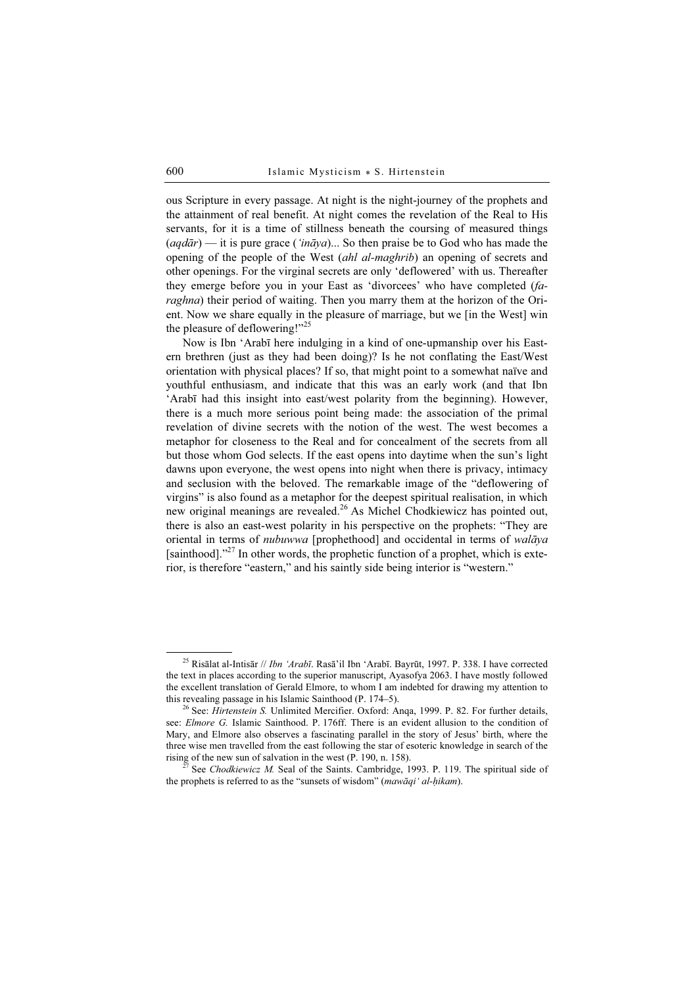ous Scripture in every passage. At night is the night-journey of the prophets and the attainment of real benefit. At night comes the revelation of the Real to His servants, for it is a time of stillness beneath the coursing of measured things  $(aqd\bar{a}r)$  — it is pure grace ('in $\bar{a}ya$ )... So then praise be to God who has made the opening of the people of the West (ahl al-maghrib) an opening of secrets and other openings. For the virginal secrets are only 'deflowered' with us. Thereafter they emerge before you in your East as 'divorcees' who have completed (faraghna) their period of waiting. Then you marry them at the horizon of the Orient. Now we share equally in the pleasure of marriage, but we [in the West] win the pleasure of deflowering!"<sup>25</sup>

Now is Ibn 'Arabī here indulging in a kind of one-upmanship over his Eastern brethren (just as they had been doing)? Is he not conflating the East/West orientation with physical places? If so, that might point to a somewhat naïve and youthful enthusiasm, and indicate that this was an early work (and that Ibn 'Arabī had this insight into east/west polarity from the beginning). However, there is a much more serious point being made: the association of the primal revelation of divine secrets with the notion of the west. The west becomes a metaphor for closeness to the Real and for concealment of the secrets from all but those whom God selects. If the east opens into daytime when the sun's light dawns upon everyone, the west opens into night when there is privacy, intimacy and seclusion with the beloved. The remarkable image of the "deflowering of virgins" is also found as a metaphor for the deepest spiritual realisation, in which new original meanings are revealed.<sup>26</sup> As Michel Chodkiewicz has pointed out, there is also an east-west polarity in his perspective on the prophets: "They are oriental in terms of nubuwwa [prophethood] and occidental in terms of walāya [sainthood]."<sup>27</sup> In other words, the prophetic function of a prophet, which is exterior, is therefore "eastern," and his saintly side being interior is "western."

<sup>25</sup> Risālat al-Intisār // Ibn 'Arabī. Rasā'il Ibn 'Arabī. Bayrūt, 1997. P. 338. I have corrected the text in places according to the superior manuscript, Ayasofya 2063. I have mostly followed the excellent translation of Gerald Elmore, to whom I am indebted for drawing my attention to this revealing passage in his Islamic Sainthood (P. 174–5).

<sup>&</sup>lt;sup>26</sup> See: *Hirtenstein S.* Unlimited Mercifier. Oxford: Anqa, 1999. P. 82. For further details, see: *Elmore G.* Islamic Sainthood. P. 176ff. There is an evident allusion to the condition of Mary, and Elmore also observes a fascinating parallel in the story of Jesus' birth, where the three wise men travelled from the east following the star of esoteric knowledge in search of the rising of the new sun of salvation in the west (P. 190, n. 158). <sup>27</sup> See Chodkiewicz M. Seal of the Saints. Cambridge, 1993. P. 119. The spiritual side of

the prophets is referred to as the "sunsets of wisdom" (mawāqi ' al-hikam).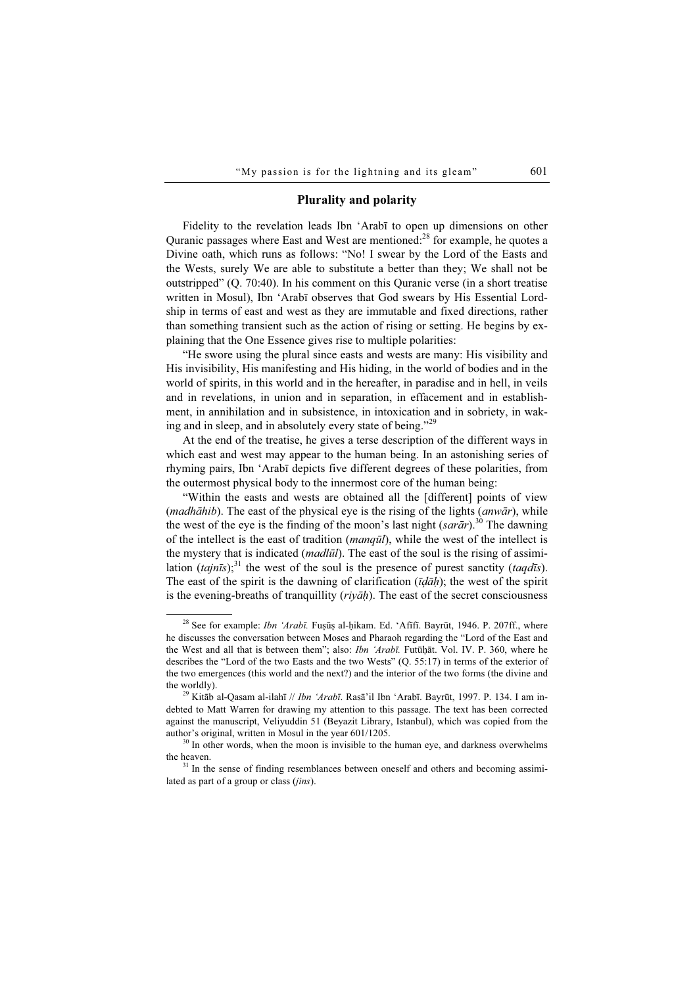### Plurality and polarity

Fidelity to the revelation leads Ibn 'Arabī to open up dimensions on other Quranic passages where East and West are mentioned:<sup>28</sup> for example, he quotes a Divine oath, which runs as follows: "No! I swear by the Lord of the Easts and the Wests, surely We are able to substitute a better than they; We shall not be outstripped" (Q. 70:40). In his comment on this Quranic verse (in a short treatise written in Mosul), Ibn 'Arabī observes that God swears by His Essential Lordship in terms of east and west as they are immutable and fixed directions, rather than something transient such as the action of rising or setting. He begins by explaining that the One Essence gives rise to multiple polarities:

"He swore using the plural since easts and wests are many: His visibility and His invisibility, His manifesting and His hiding, in the world of bodies and in the world of spirits, in this world and in the hereafter, in paradise and in hell, in veils and in revelations, in union and in separation, in effacement and in establishment, in annihilation and in subsistence, in intoxication and in sobriety, in waking and in sleep, and in absolutely every state of being."<sup>29</sup>

At the end of the treatise, he gives a terse description of the different ways in which east and west may appear to the human being. In an astonishing series of rhyming pairs, Ibn 'Arabī depicts five different degrees of these polarities, from the outermost physical body to the innermost core of the human being:

"Within the easts and wests are obtained all the [different] points of view (madhāhib). The east of the physical eye is the rising of the lights (anwār), while the west of the eye is the finding of the moon's last night (sar $\bar{a}r$ ).<sup>30</sup> The dawning of the intellect is the east of tradition (manqūl), while the west of the intellect is the mystery that is indicated *(madlūl)*. The east of the soul is the rising of assimilation  $(ta\overline{j}n\overline{i}s)$ ;<sup>31</sup> the west of the soul is the presence of purest sanctity (*taqdis*). The east of the spirit is the dawning of clarification  $(\bar{u}d\bar{a}h)$ ; the west of the spirit is the evening-breaths of tranquillity  $(riv\bar{a}h)$ . The east of the secret consciousness

<sup>&</sup>lt;sup>28</sup> See for example: *Ibn 'Arabī*. Fusūs al-hikam. Ed. 'Afīfī. Bayrūt, 1946. P. 207ff., where he discusses the conversation between Moses and Pharaoh regarding the "Lord of the East and the West and all that is between them"; also: *Ibn 'Arabī*. Futūhāt. Vol. IV. P. 360, where he describes the "Lord of the two Easts and the two Wests" (Q. 55:17) in terms of the exterior of the two emergences (this world and the next?) and the interior of the two forms (the divine and the worldly).<br><sup>29</sup> Kitāb al-Qasam al-ilahī // *Ibn 'Arabī*. Rasā'il Ibn 'Arabī. Bayrūt, 1997. P. 134. I am in-

debted to Matt Warren for drawing my attention to this passage. The text has been corrected against the manuscript, Veliyuddin 51 (Beyazit Library, Istanbul), which was copied from the author's original, written in Mosul in the year  $601/1205$ .<br><sup>30</sup> In other words, when the moon is invisible to the human eye, and darkness overwhelms

the heaven.<br><sup>31</sup> In the sense of finding resemblances between oneself and others and becoming assimi-

lated as part of a group or class *(jins)*.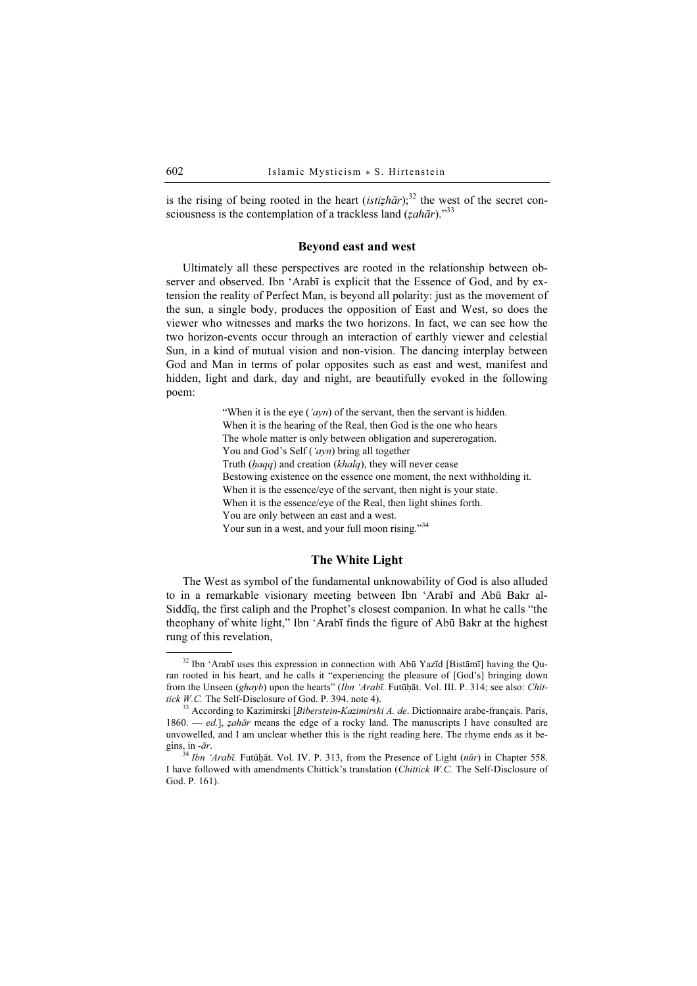is the rising of being rooted in the heart (*istizhār*);<sup>32</sup> the west of the secret consciousness is the contemplation of a trackless land  $(zah\bar{a}r)$ ."<sup>33</sup>

#### Beyond east and west

Ultimately all these perspectives are rooted in the relationship between observer and observed. Ibn 'Arabī is explicit that the Essence of God, and by extension the reality of Perfect Man, is beyond all polarity: just as the movement of the sun, a single body, produces the opposition of East and West, so does the viewer who witnesses and marks the two horizons. In fact, we can see how the two horizon-events occur through an interaction of earthly viewer and celestial Sun, in a kind of mutual vision and non-vision. The dancing interplay between God and Man in terms of polar opposites such as east and west, manifest and hidden, light and dark, day and night, are beautifully evoked in the following poem:

> "When it is the eye  $('avn)$  of the servant, then the servant is hidden. When it is the hearing of the Real, then God is the one who hears The whole matter is only between obligation and supererogation. You and God's Self ('ayn) bring all together Truth ( $haqq$ ) and creation ( $khalg$ ), they will never cease Bestowing existence on the essence one moment, the next withholding it. When it is the essence/eye of the servant, then night is your state. When it is the essence/eye of the Real, then light shines forth. You are only between an east and a west. Your sun in a west, and your full moon rising."34

### The White Light

The West as symbol of the fundamental unknowability of God is also alluded to in a remarkable visionary meeting between Ibn 'Arabī and Abū Bakr al-Siddīq, the first caliph and the Prophet's closest companion. In what he calls "the theophany of white light," Ibn 'Arabī finds the figure of Abū Bakr at the highest rung of this revelation,

<sup>32</sup> Ibn 'Arabī uses this expression in connection with Abū Yazīd [Bistāmī] having the Quran rooted in his heart, and he calls it "experiencing the pleasure of [God's] bringing down from the Unseen (ghayb) upon the hearts" (Ibn 'Arabī. Futūḥāt. Vol. III. P. 314; see also: Chit-<br>tick W.C. The Self-Disclosure of God. P. 394. note 4).

<sup>&</sup>lt;sup>33</sup> According to Kazimirski [Biberstein-Kazimirski A. de. Dictionnaire arabe-français. Paris,  $1860. - ed.$ ], *zahār* means the edge of a rocky land. The manuscripts I have consulted are unvowelled, and I am unclear whether this is the right reading here. The rhyme ends as it begins, in -ār.  $34$  Ibn 'Arabī. Futūḥāt. Vol. IV. P. 313, from the Presence of Light (nūr) in Chapter 558.

I have followed with amendments Chittick's translation (Chittick W.C. The Self-Disclosure of God. P. 161).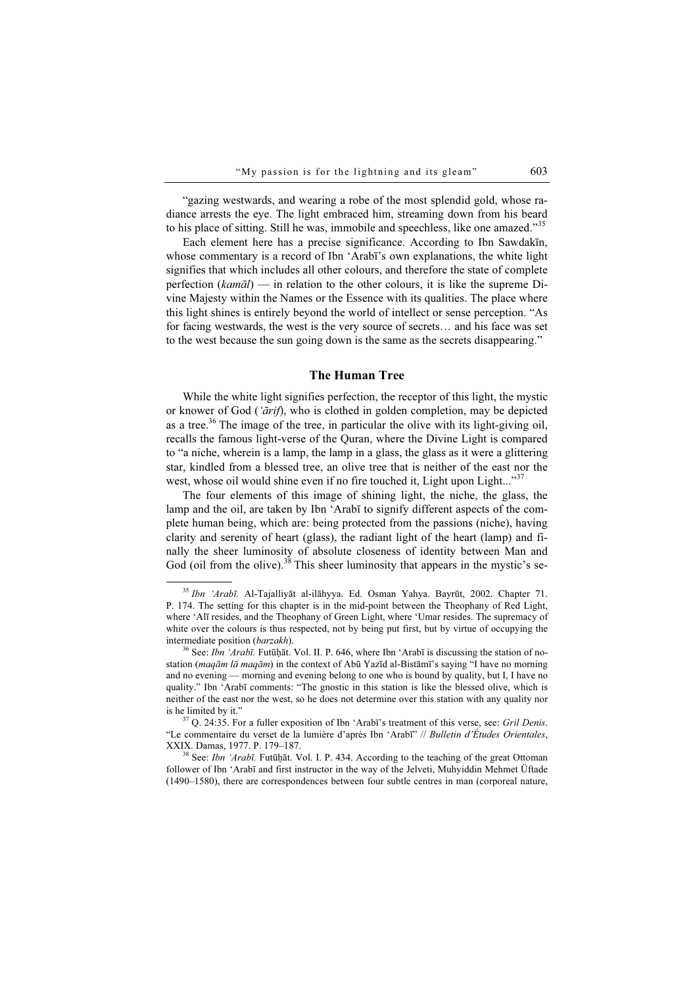"gazing westwards, and wearing a robe of the most splendid gold, whose radiance arrests the eye. The light embraced him, streaming down from his beard to his place of sitting. Still he was, immobile and speechless, like one amazed."<sup>35</sup>

Each element here has a precise significance. According to Ibn Sawdakīn, whose commentary is a record of Ibn 'Arabī's own explanations, the white light signifies that which includes all other colours, and therefore the state of complete perfection ( $kam\bar{a}l$ ) — in relation to the other colours, it is like the supreme Divine Majesty within the Names or the Essence with its qualities. The place where this light shines is entirely beyond the world of intellect or sense perception. "As for facing westwards, the west is the very source of secrets… and his face was set to the west because the sun going down is the same as the secrets disappearing."

### The Human Tree

While the white light signifies perfection, the receptor of this light, the mystic or knower of God ('ārif), who is clothed in golden completion, may be depicted as a tree.<sup>36</sup> The image of the tree, in particular the olive with its light-giving oil, recalls the famous light-verse of the Quran, where the Divine Light is compared to "a niche, wherein is a lamp, the lamp in a glass, the glass as it were a glittering star, kindled from a blessed tree, an olive tree that is neither of the east nor the west, whose oil would shine even if no fire touched it, Light upon Light..."<sup>37</sup>

The four elements of this image of shining light, the niche, the glass, the lamp and the oil, are taken by Ibn 'Arabī to signify different aspects of the complete human being, which are: being protected from the passions (niche), having clarity and serenity of heart (glass), the radiant light of the heart (lamp) and finally the sheer luminosity of absolute closeness of identity between Man and God (oil from the olive).<sup>38</sup> This sheer luminosity that appears in the mystic's se-

<sup>35</sup> Ibn 'Arabī. Al-Tajalliyāt al-ilāhyya. Ed. Osman Yahya. Bayrūt, 2002. Chapter 71. P. 174. The setting for this chapter is in the mid-point between the Theophany of Red Light, where 'Alī resides, and the Theophany of Green Light, where 'Umar resides. The supremacy of white over the colours is thus respected, not by being put first, but by virtue of occupying the intermediate position (*barzakh*).<br><sup>36</sup> See: *Ibn 'Arabī*. Futūḥāt. Vol. II. P. 646, where Ibn 'Arabī is discussing the station of no-

station (*maqām lā maqām*) in the context of Abū Yazīd al-Bistāmī's saying "I have no morning and no evening — morning and evening belong to one who is bound by quality, but I, I have no quality." Ibn 'Arabī comments: "The gnostic in this station is like the blessed olive, which is neither of the east nor the west, so he does not determine over this station with any quality nor is he limited by it."<br><sup>37</sup> O. 24:35. For a fuller exposition of Ibn 'Arabī's treatment of this verse, see: *Gril Denis*.

<sup>&</sup>quot;Le commentaire du verset de la lumière d'après Ibn 'Arabī" // Bulletin d'Études Orientales, XXIX. Damas, 1977. P. 179–187.<br><sup>38</sup> See: *Ibn 'Arabī*. Futūhāt. Vol. I. P. 434. According to the teaching of the great Ottoman

follower of Ibn 'Arabī and first instructor in the way of the Jelveti, Muhyiddin Mehmet Üftade (1490–1580), there are correspondences between four subtle centres in man (corporeal nature,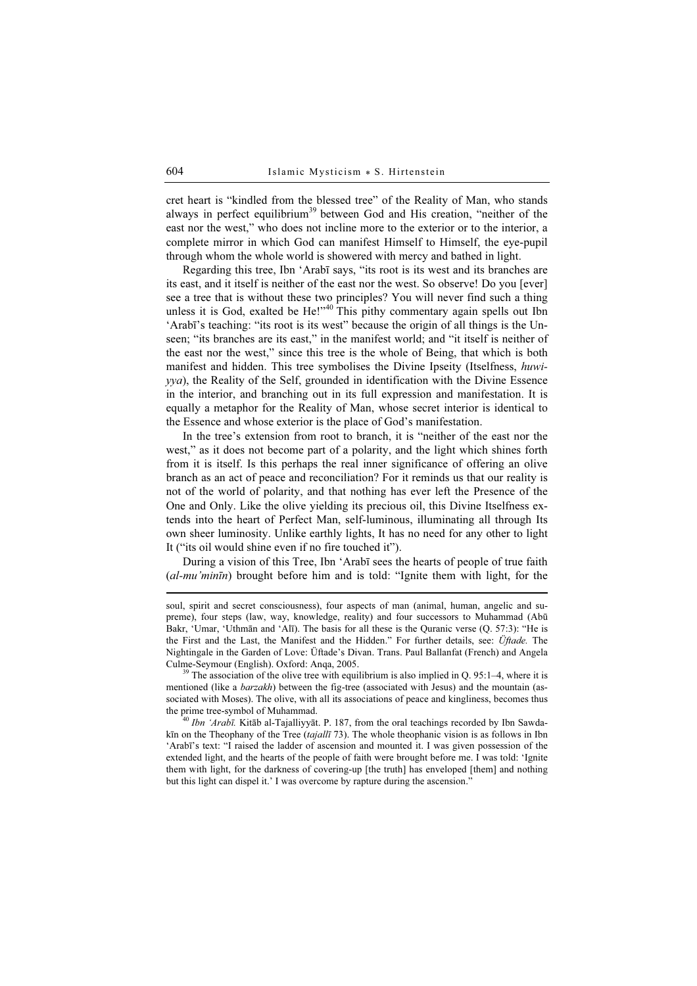cret heart is "kindled from the blessed tree" of the Reality of Man, who stands always in perfect equilibrium<sup>39</sup> between God and His creation, "neither of the east nor the west," who does not incline more to the exterior or to the interior, a complete mirror in which God can manifest Himself to Himself, the eye-pupil through whom the whole world is showered with mercy and bathed in light.

Regarding this tree, Ibn 'Arabī says, "its root is its west and its branches are its east, and it itself is neither of the east nor the west. So observe! Do you [ever] see a tree that is without these two principles? You will never find such a thing unless it is God, exalted be  $He$ !"<sup>40</sup> This pithy commentary again spells out Ibn 'Arabī's teaching: "its root is its west" because the origin of all things is the Unseen; "its branches are its east," in the manifest world; and "it itself is neither of the east nor the west," since this tree is the whole of Being, that which is both manifest and hidden. This tree symbolises the Divine Ipseity (Itselfness, huwiyya), the Reality of the Self, grounded in identification with the Divine Essence in the interior, and branching out in its full expression and manifestation. It is equally a metaphor for the Reality of Man, whose secret interior is identical to the Essence and whose exterior is the place of God's manifestation.

In the tree's extension from root to branch, it is "neither of the east nor the west," as it does not become part of a polarity, and the light which shines forth from it is itself. Is this perhaps the real inner significance of offering an olive branch as an act of peace and reconciliation? For it reminds us that our reality is not of the world of polarity, and that nothing has ever left the Presence of the One and Only. Like the olive yielding its precious oil, this Divine Itselfness extends into the heart of Perfect Man, self-luminous, illuminating all through Its own sheer luminosity. Unlike earthly lights, It has no need for any other to light It ("its oil would shine even if no fire touched it").

During a vision of this Tree, Ibn 'Arabī sees the hearts of people of true faith (al-mu'minīn) brought before him and is told: "Ignite them with light, for the

soul, spirit and secret consciousness), four aspects of man (animal, human, angelic and supreme), four steps (law, way, knowledge, reality) and four successors to Muhammad (Abū Bakr, 'Umar, 'Uthmān and 'Alī). The basis for all these is the Quranic verse (Q. 57:3): "He is the First and the Last, the Manifest and the Hidden." For further details, see: Üftade. The Nightingale in the Garden of Love: Üftade's Divan. Trans. Paul Ballanfat (French) and Angela

<sup>&</sup>lt;sup>39</sup> The association of the olive tree with equilibrium is also implied in Q. 95:1–4, where it is mentioned (like a *barzakh*) between the fig-tree (associated with Jesus) and the mountain (associated with Moses). The olive, with all its associations of peace and kingliness, becomes thus the prime tree-symbol of Muhammad.<br><sup>40</sup> Ibn 'Arabī. Kitāb al-Tajalliyyāt. P. 187, from the oral teachings recorded by Ibn Sawda-

kīn on the Theophany of the Tree (tajallī 73). The whole theophanic vision is as follows in Ibn 'Arabī's text: "I raised the ladder of ascension and mounted it. I was given possession of the extended light, and the hearts of the people of faith were brought before me. I was told: 'Ignite them with light, for the darkness of covering-up [the truth] has enveloped [them] and nothing but this light can dispel it.' I was overcome by rapture during the ascension."